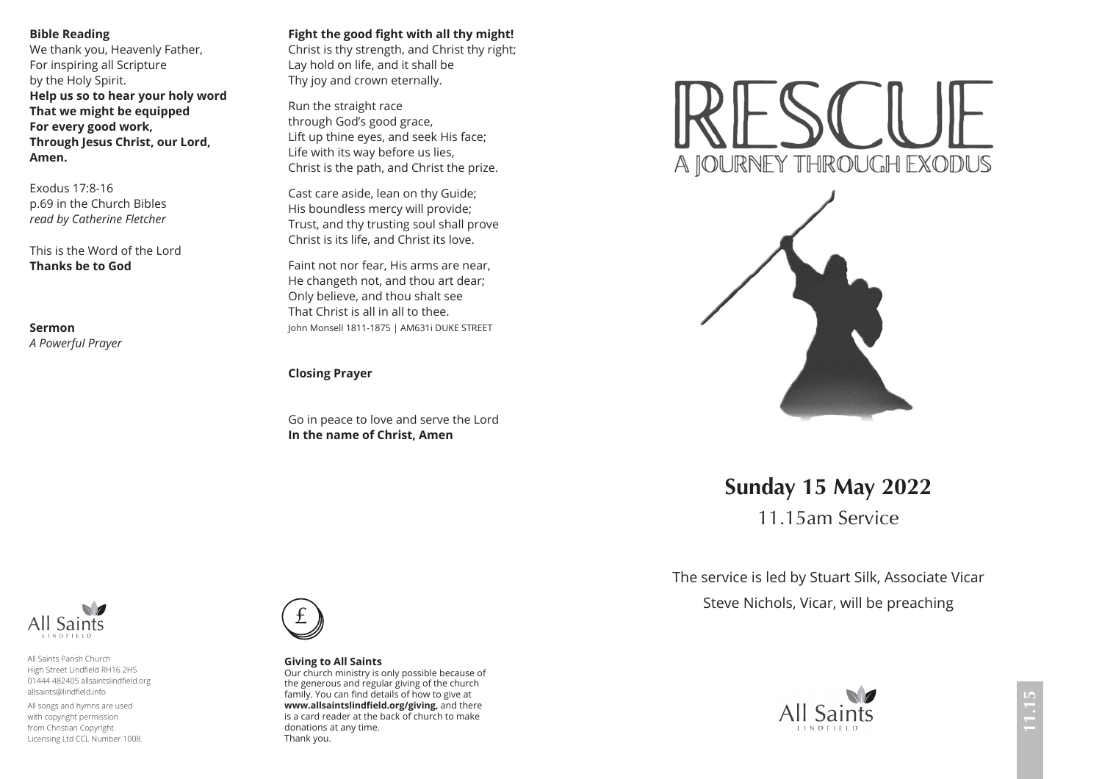## **Bible Reading**

We thank you, Heavenly Father, For inspiring all Scripture by the Holy Spirit. **Help us so to hear your holy word That we might be equipped For every good work, Through Jesus Christ, our Lord, Amen.**

Exodus 17:8-16 p.69 in the Church Bibles *read by Catherine Fletcher*

This is the Word of the Lord **Thanks be to God**

**Sermon**  *A Powerful Prayer*

## **Fight the good fight with all thy might!**

Christ is thy strength, and Christ thy right; Lay hold on life, and it shall be Thy joy and crown eternally.

Run the straight race through God's good grace, Lift up thine eyes, and seek His face; Life with its way before us lies, Christ is the path, and Christ the prize.

Cast care aside, lean on thy Guide; His boundless mercy will provide; Trust, and thy trusting soul shall prove Christ is its life, and Christ its love.

Faint not nor fear, His arms are near, He changeth not, and thou art dear; Only believe, and thou shalt see That Christ is all in all to thee. John Monsell 1811-1875 | AM631i DUKE STREET

## **Closing Prayer**

Go in peace to love and serve the Lord **In the name of Christ, Amen**





**Sunday 15 May 2022**

11.15am Service

The service is led by Stuart Silk, Associate Vicar Steve Nichols, Vicar, will be preaching





Saints

All Saints Parish Church High Street Lindfield RH16 2HS 01444 482405 allsaintslindfield.org allsaints@lindfield.info

All songs and hymns are used with copyright permission from Christian Copyright Licensing Ltd CCL Number 1008.



**Giving to All Saints**

Our church ministry is only possible because of the generous and regular giving of the church family. You can find details of how to give at **www.allsaintslindfield.org/giving,** and there is a card reader at the back of church to make donations at any time. Thank you.